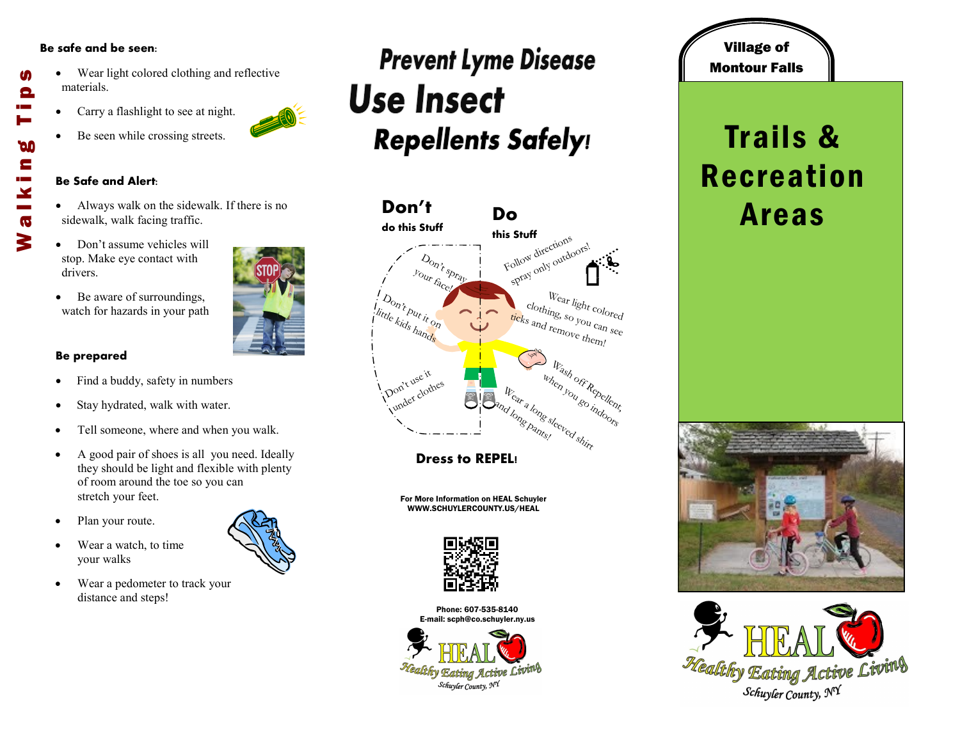#### **Be safe and be seen:**

- Wear light colored clothing and reflective materials.
- Carry a flashlight to see at night.
- Be seen while crossing streets.

#### **Be Safe and Alert:**

- Always walk on the sidewalk. If there is no sidewalk, walk facing traffic.
- Don't assume vehicles will stop. Make eye contact with drivers.
- Be aware of surroundings, watch for hazards in your path

### **Be prepared**

- Find a buddy, safety in numbers
- Stay hydrated, walk with water.
- Tell someone, where and when you walk.
- A good pair of shoes is all you need. Ideally they should be light and flexible with plenty of room around the toe so you can stretch your feet.
- Plan your route.
- Wear a watch, to time your walks
- Wear a pedometer to track your distance and steps!

## **Prevent Lyme Disease Use Insect Repellents Safely!**



**Dress to REPEL!**

For More Information on HEAL Schuyler WWW.SCHUYLERCOUNTY.US/HEAL



Phone: 607-535-8140 E-mail: scph@co.schuyler.ny.us



### Village of Montour Falls

### Trails & Recreation Areas









M

Θ